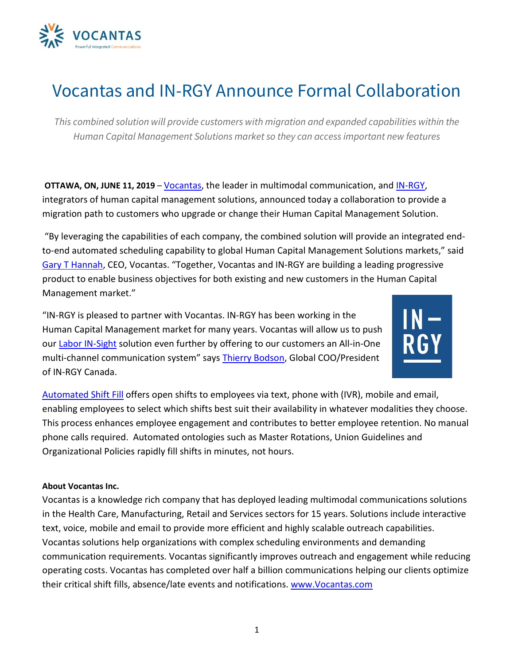

## Vocantas and IN-RGY Announce Formal Collaboration

*This combined solution will provide customers with migration and expanded capabilities within the Human Capital Management Solutions market so they can access important new features*

**OTTAWA, ON, JUNE 11, 2019** – [Vocantas,](https://www.vocantas.com/) the leader in multimodal communication, and [IN-RGY,](http://www.in-rgy.com/) integrators of human capital management solutions, announced today a collaboration to provide a migration path to customers who upgrade or change their Human Capital Management Solution.

"By leveraging the capabilities of each company, the combined solution will provide an integrated endto-end automated scheduling capability to global Human Capital Management Solutions markets," said [Gary T Hannah,](https://www.vocantas.com/management-team/gary-t-hannah) CEO, Vocantas. "Together, Vocantas and IN-RGY are building a leading progressive product to enable business objectives for both existing and new customers in the Human Capital Management market."

"IN-RGY is pleased to partner with Vocantas. IN-RGY has been working in the Human Capital Management market for many years. Vocantas will allow us to push our [Labor IN-Sight](http://www.in-rgy.com/technologie-en/kronos/) solution even further by offering to our customers an All-in-One multi-channel communication system" says [Thierry Bodson,](http://www.in-rgy.com/who-we-are/leadership-team/) Global COO/President of IN-RGY Canada.



[Automated Shift Fill](https://www.vocantas.com/modules/automated-shift-fill) offers open shifts to employees via text, phone with (IVR), mobile and email, enabling employees to select which shifts best suit their availability in whatever modalities they choose. This process enhances employee engagement and contributes to better employee retention. No manual phone calls required. Automated ontologies such as Master Rotations, Union Guidelines and Organizational Policies rapidly fill shifts in minutes, not hours.

## **About Vocantas Inc.**

Vocantas is a knowledge rich company that has deployed leading multimodal communications solutions in the Health Care, Manufacturing, Retail and Services sectors for 15 years. Solutions include interactive text, voice, mobile and email to provide more efficient and highly scalable outreach capabilities. Vocantas solutions help organizations with complex scheduling environments and demanding communication requirements. Vocantas significantly improves outreach and engagement while reducing operating costs. Vocantas has completed over half a billion communications helping our clients optimize their critical shift fills, absence/late events and notifications. [www.Vocantas.com](http://www.vocantas.com/)